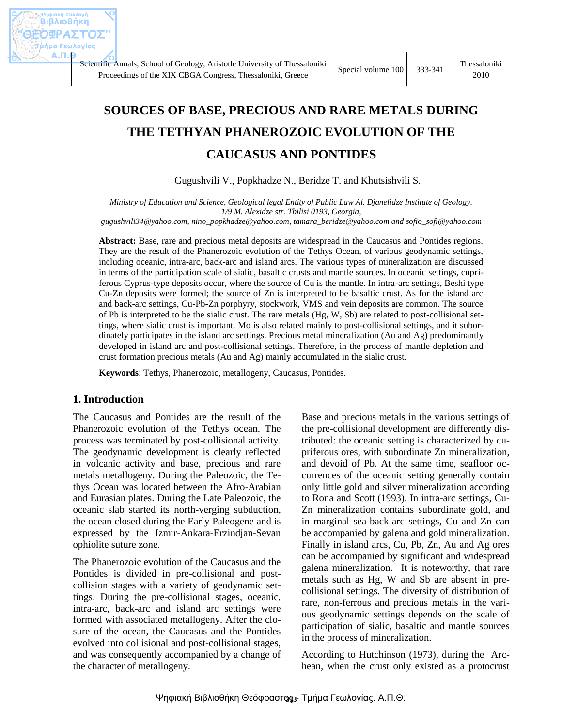# **SOURCES OF BASE, PRECIOUS AND RARE METALS DURING THE TETHYAN PHANEROZOIC EVOLUTION OF THE CAUCASUS AND PONTIDES**

Gugushvili V., Popkhadze N., Beridze T. and Khutsishvili S.

*Ministry of Education and Science, Geological legal Entity of Public Law Al. Djanelidze Institute of Geology. 1/9 M. Alexidze str. Tbilisi 0193, Georgia,* 

*[gugushvili34@yahoo.com,](mailto:gugushvili34@yahoo.com) [nino\\_popkhadze@yahoo.com,](mailto:nino_popkhadze@yahoo.com) [tamara\\_beridze@yahoo.com](mailto:tamara_beridze@yahoo.com) an[d sofio\\_sofi@yahoo.com](mailto:sofio_sofi@yahoo.com)*

**Abstract:** Base, rare and precious metal deposits are widespread in the Caucasus and Pontides regions. They are the result of the Phanerozoic evolution of the Tethys Ocean, of various geodynamic settings, including oceanic, intra-arc, back-arc and island arcs. The various types of mineralization are discussed in terms of the participation scale of sialic, basaltic crusts and mantle sources. In oceanic settings, cupriferous Cyprus-type deposits occur, where the source of Cu is the mantle. In intra-arc settings, Beshi type Cu-Zn deposits were formed; the source of Zn is interpreted to be basaltic crust. As for the island arc and back-arc settings, Cu-Pb-Zn porphyry, stockwork, VMS and vein deposits are common. The source of Pb is interpreted to be the sialic crust. The rare metals (Hg, W, Sb) are related to post-collisional settings, where sialic crust is important. Mo is also related mainly to post-collisional settings, and it subordinately participates in the island arc settings. Precious metal mineralization (Au and Ag) predominantly developed in island arc and post-collisional settings. Therefore, in the process of mantle depletion and crust formation precious metals (Au and Ag) mainly accumulated in the sialic crust.

**Keywords**: Tethys, Phanerozoic, metallogeny, Caucasus, Pontides.

# **1. Introduction**

The Caucasus and Pontides are the result of the Phanerozoic evolution of the Tethys ocean. The process was terminated by post-collisional activity. The geodynamic development is clearly reflected in volcanic activity and base, precious and rare metals metallogeny. During the Paleozoic, the Tethys Ocean was located between the Afro-Arabian and Eurasian plates. During the Late Paleozoic, the oceanic slab started its north-verging subduction, the ocean closed during the Early Paleogene and is expressed by the Izmir-Ankara-Erzindjan-Sevan ophiolite suture zone.

The Phanerozoic evolution of the Caucasus and the Pontides is divided in pre-collisional and postcollision stages with a variety of geodynamic settings. During the pre-collisional stages, oceanic, intra-arc, back-arc and island arc settings were formed with associated metallogeny. After the closure of the ocean, the Caucasus and the Pontides evolved into collisional and post-collisional stages, and was consequently accompanied by a change of the character of metallogeny.

Base and precious metals in the various settings of the pre-collisional development are differently distributed: the oceanic setting is characterized by cupriferous ores, with subordinate Zn mineralization, and devoid of Pb. At the same time, seafloor occurrences of the oceanic setting generally contain only little gold and silver mineralization according to Rona and Scott (1993). In intra-arc settings, Cu-Zn mineralization contains subordinate gold, and in marginal sea-back-arc settings, Cu and Zn can be accompanied by galena and gold mineralization. Finally in island arcs, Cu, Pb, Zn, Au and Ag ores can be accompanied by significant and widespread galena mineralization. It is noteworthy, that rare metals such as Hg, W and Sb are absent in precollisional settings. The diversity of distribution of rare, non-ferrous and precious metals in the various geodynamic settings depends on the scale of participation of sialic, basaltic and mantle sources in the process of mineralization.

According to Hutchinson (1973), during the Archean, when the crust only existed as a protocrust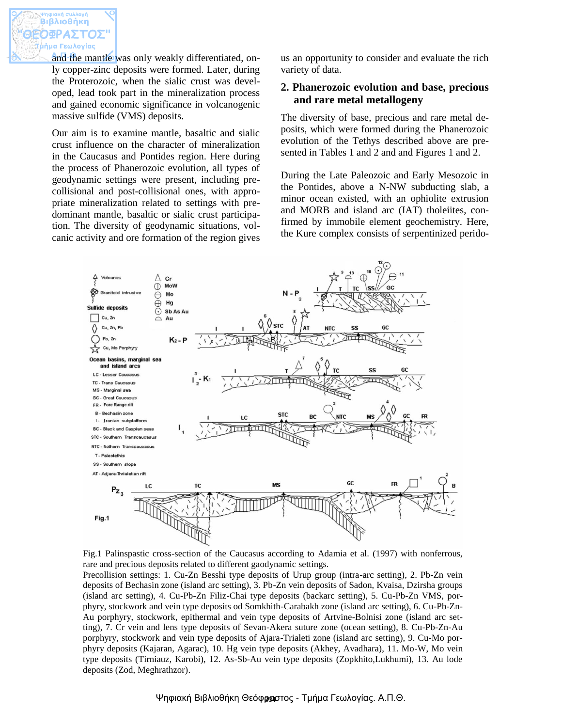and the mantle was only weakly differentiated, only copper-zinc deposits were formed. Later, during the Proterozoic, when the sialic crust was developed, lead took part in the mineralization process and gained economic significance in volcanogenic massive sulfide (VMS) deposits.

Our aim is to examine mantle, basaltic and sialic crust influence on the character of mineralization in the Caucasus and Pontides region. Here during the process of Phanerozoic evolution, all types of geodynamic settings were present, including precollisional and post-collisional ones, with appropriate mineralization related to settings with predominant mantle, basaltic or sialic crust participation. The diversity of geodynamic situations, volcanic activity and ore formation of the region gives us an opportunity to consider and evaluate the rich variety of data.

# **2. Phanerozoic evolution and base, precious and rare metal metallogeny**

The diversity of base, precious and rare metal deposits, which were formed during the Phanerozoic evolution of the Tethys described above are presented in Tables 1 and 2 and and Figures 1 and 2.

During the Late Paleozoic and Early Mesozoic in the Pontides, above a N-NW subducting slab, a minor ocean existed, with an ophiolite extrusion and MORB and island arc (IAT) tholeiites, confirmed by immobile element geochemistry. Here, the Kure complex consists of serpentinized perido-





Precollision settings: 1. Cu-Zn Besshi type deposits of Urup group (intra-arc setting), 2. Pb-Zn vein deposits of Bechasin zone (island arc setting), 3. Pb-Zn vein deposits of Sadon, Kvaisa, Dzirsha groups (island arc setting), 4. Cu-Pb-Zn Filiz-Chai type deposits (backarc setting), 5. Cu-Pb-Zn VMS, porphyry, stockwork and vein type deposits od Somkhith-Carabakh zone (island arc setting), 6. Cu-Pb-Zn-Au porphyry, stockwork, epithermal and vein type deposits of Artvine-Bolnisi zone (island arc setting), 7. Cr vein and lens type deposits of Sevan-Akera suture zone (ocean setting), 8. Cu-Pb-Zn-Au porphyry, stockwork and vein type deposits of Ajara-Trialeti zone (island arc setting), 9. Cu-Mo porphyry deposits (Kajaran, Agarac), 10. Hg vein type deposits (Akhey, Avadhara), 11. Mo-W, Mo vein type deposits (Tirniauz, Karobi), 12. As-Sb-Au vein type deposits (Zopkhito,Lukhumi), 13. Au lode deposits (Zod, Meghrathzor).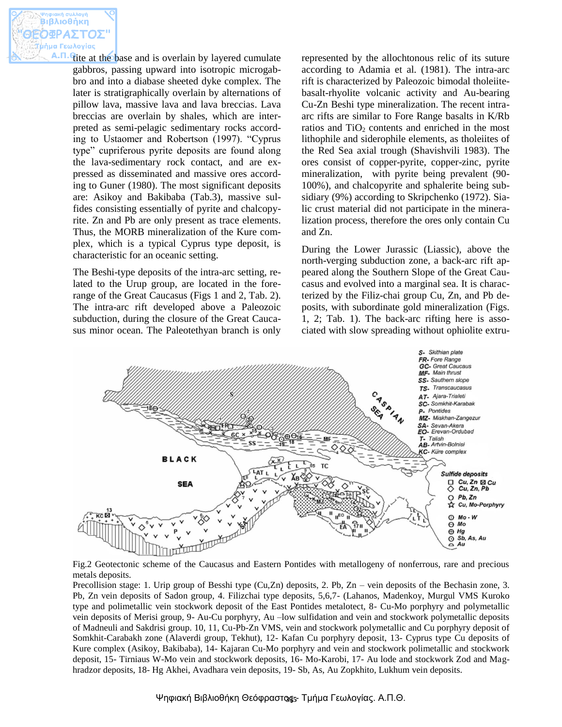tite at the base and is overlain by layered cumulate gabbros, passing upward into isotropic microgabbro and into a diabase sheeted dyke complex. The later is stratigraphically overlain by alternations of pillow lava, massive lava and lava breccias. Lava breccias are overlain by shales, which are interpreted as semi-pelagic sedimentary rocks according to Ustaomer and Robertson (1997). "Cyprus type" cupriferous pyrite deposits are found along the lava-sedimentary rock contact, and are expressed as disseminated and massive ores according to Guner (1980). The most significant deposits are: Asikoy and Bakibaba (Tab.3), massive sulfides consisting essentially of pyrite and chalcopyrite. Zn and Pb are only present as trace elements. Thus, the MORB mineralization of the Kure complex, which is a typical Cyprus type deposit, is characteristic for an oceanic setting.

The Beshi-type deposits of the intra-arc setting, related to the Urup group, are located in the forerange of the Great Caucasus (Figs 1 and 2, Tab. 2). The intra-arc rift developed above a Paleozoic subduction, during the closure of the Great Caucasus minor ocean. The Paleotethyan branch is only represented by the allochtonous relic of its suture according to Adamia et al. (1981). The intra-arc rift is characterized by Paleozoic bimodal tholeiitebasalt-rhyolite volcanic activity and Au-bearing Cu-Zn Beshi type mineralization. The recent intraarc rifts are similar to Fore Range basalts in K/Rb ratios and  $TiO<sub>2</sub>$  contents and enriched in the most lithophile and siderophile elements, as tholeiites of the Red Sea axial trough (Shavishvili 1983). The ores consist of copper-pyrite, copper-zinc, pyrite mineralization, with pyrite being prevalent (90- 100%), and chalcopyrite and sphalerite being subsidiary (9%) according to Skripchenko (1972). Sialic crust material did not participate in the mineralization process, therefore the ores only contain Cu and Zn.

During the Lower Jurassic (Liassic), above the north-verging subduction zone, a back-arc rift appeared along the Southern Slope of the Great Caucasus and evolved into a marginal sea. It is characterized by the Filiz-chai group Cu, Zn, and Pb deposits, with subordinate gold mineralization (Figs. 1, 2; Tab. 1). The back-arc rifting here is associated with slow spreading without ophiolite extru-



Fig.2 Geotectonic scheme of the Caucasus and Eastern Pontides with metallogeny of nonferrous, rare and precious metals deposits.

Precollision stage: 1. Urip group of Besshi type (Cu,Zn) deposits, 2. Pb, Zn – vein deposits of the Bechasin zone, 3. Pb, Zn vein deposits of Sadon group, 4. Filizchai type deposits, 5,6,7- (Lahanos, Madenkoy, Murgul VMS Kuroko type and polimetallic vein stockwork deposit of the East Pontides metalotect, 8- Cu-Mo porphyry and polymetallic vein deposits of Merisi group, 9- Au-Cu porphyry, Au –low sulfidation and vein and stockwork polymetallic deposits of Madneuli and Sakdrisi group. 10, 11, Cu-Pb-Zn VMS, vein and stockwork polymetallic and Cu porphyry deposit of Somkhit-Carabakh zone (Alaverdi group, Tekhut), 12- Kafan Cu porphyry deposit, 13- Cyprus type Cu deposits of Kure complex (Asikoy, Bakibaba), 14- Kajaran Cu-Mo porphyry and vein and stockwork polimetallic and stockwork deposit, 15- Tirniaus W-Mo vein and stockwork deposits, 16- Mo-Karobi, 17- Au lode and stockwork Zod and Maghradzor deposits, 18- Hg Akhei, Avadhara vein deposits, 19- Sb, As, Au Zopkhito, Lukhum vein deposits.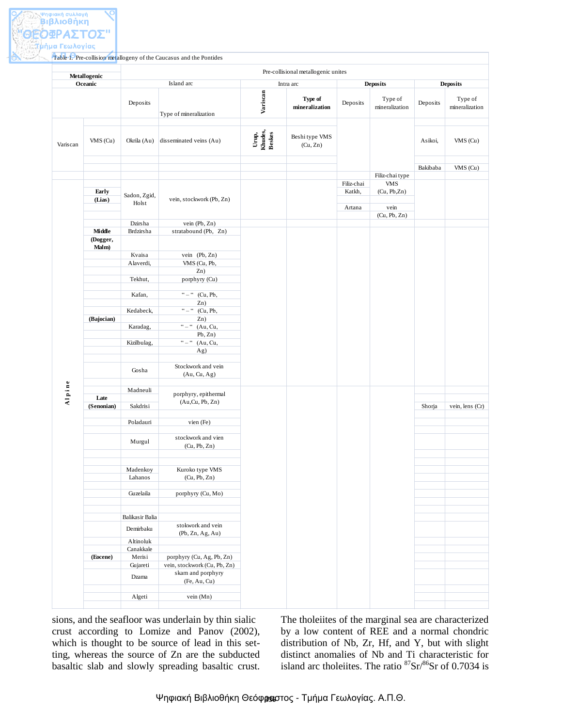|                      | Metallogenic        |                                                                    |                            | Pre-collisional metallogenic unites |                      |                            |                 |                           |
|----------------------|---------------------|--------------------------------------------------------------------|----------------------------|-------------------------------------|----------------------|----------------------------|-----------------|---------------------------|
| Oceanic              |                     | Island arc                                                         |                            | Intra arc                           | <b>Deposits</b>      |                            | <b>Deposits</b> |                           |
|                      | Deposits            | Type of mineralization                                             | Variscan                   | Type of<br>mineralization           | Deposits             | Type of<br>mineralization  | Deposits        | Type of<br>mineralization |
| VMS (Cu)<br>Variscan | Okrila (Au)         | disseminated veins (Au)                                            | Urup,<br>Khudes,<br>Beskes | Beshi type VMS<br>(Cu, Zn)          |                      |                            | Asikoi,         | $VMS$ (Cu)                |
|                      |                     |                                                                    |                            |                                     |                      |                            | Bakibaba        | $VMS$ (Cu)                |
|                      |                     |                                                                    |                            |                                     |                      | Filiz-chai type            |                 |                           |
| Early<br>(Lias)      | Sadon, Zgid,        | vein, stockwork (Pb, Zn)                                           |                            |                                     | Filiz-chai<br>Katkh, | <b>VMS</b><br>(Cu, Pb, Zn) |                 |                           |
|                      | Holst               |                                                                    |                            |                                     | Artana               | vein                       |                 |                           |
|                      | Dzirsha             | vein (Pb, Zn)                                                      |                            |                                     |                      | (Cu, Pb, Zn)               |                 |                           |
| Middle               | Brdzirsha           | stratabound (Pb, Zn)                                               |                            |                                     |                      |                            |                 |                           |
| (Dogger,<br>Malm)    |                     |                                                                    |                            |                                     |                      |                            |                 |                           |
|                      | Kvaisa              | vein (Pb, Zn)                                                      |                            |                                     |                      |                            |                 |                           |
|                      | Alaverdi,           | VMS (Cu, Pb,                                                       |                            |                                     |                      |                            |                 |                           |
|                      |                     | Zn)                                                                |                            |                                     |                      |                            |                 |                           |
|                      | Tekhut,             | porphyry (Cu)                                                      |                            |                                     |                      |                            |                 |                           |
|                      | Kafan,              | $\mathbf{u} = \mathbf{u}$<br>(Cu, Pb,                              |                            |                                     |                      |                            |                 |                           |
|                      |                     | Zn)                                                                |                            |                                     |                      |                            |                 |                           |
|                      | Kedabeck,           | $\mathfrak{c}\mathfrak{c}=\mathfrak{c}\mathfrak{c}$<br>(Cu, Pb,    |                            |                                     |                      |                            |                 |                           |
| (Bajocian)           | Karadag,            | Zn)<br>$\mathbf{c}$ = $\mathbf{c}$<br>(Au, Cu,                     |                            |                                     |                      |                            |                 |                           |
|                      |                     | Pb, Zn)                                                            |                            |                                     |                      |                            |                 |                           |
|                      | Kizilbulag,         | $\ddot{\phantom{a}}$ $\phantom{a}$ $\phantom{a}$<br>(Au, Cu,       |                            |                                     |                      |                            |                 |                           |
|                      |                     | Ag)                                                                |                            |                                     |                      |                            |                 |                           |
|                      | Gosha               | Stockwork and vein<br>(Au, Cu, Ag)                                 |                            |                                     |                      |                            |                 |                           |
| Alpine               | Madneuli            | porphyry, epithermal                                               |                            |                                     |                      |                            |                 |                           |
| Late                 |                     | (Au,Cu, Pb, Zn)                                                    |                            |                                     |                      |                            |                 |                           |
| (Senonian)           | Sakdrisi            |                                                                    |                            |                                     |                      |                            | Shorja          | vein, lens (Cr)           |
|                      | Poladauri           | vien (Fe)                                                          |                            |                                     |                      |                            |                 |                           |
|                      | Murgul              | stockwork and vien<br>(Cu, Pb, Zn)                                 |                            |                                     |                      |                            |                 |                           |
|                      | Madenkoy<br>Lahanos | Kuroko type VMS<br>(Cu, Pb, Zn)                                    |                            |                                     |                      |                            |                 |                           |
|                      | Guzelaila           | porphyry (Cu, Mo)                                                  |                            |                                     |                      |                            |                 |                           |
|                      | Balikasir Balia     |                                                                    |                            |                                     |                      |                            |                 |                           |
|                      | Demirbaku           | stokwork and vein<br>(Pb, Zn, Ag, Au)                              |                            |                                     |                      |                            |                 |                           |
|                      | Altinoluk           |                                                                    |                            |                                     |                      |                            |                 |                           |
|                      | Canakkale           |                                                                    |                            |                                     |                      |                            |                 |                           |
| (Eocene)             | Merisi              | porphyry (Cu, Ag, Pb, Zn)                                          |                            |                                     |                      |                            |                 |                           |
|                      | Gujareti<br>Dzama   | vein, stockwork (Cu, Pb, Zn)<br>skarn and porphyry<br>(Fe, Au, Cu) |                            |                                     |                      |                            |                 |                           |
|                      |                     |                                                                    |                            |                                     |                      |                            |                 |                           |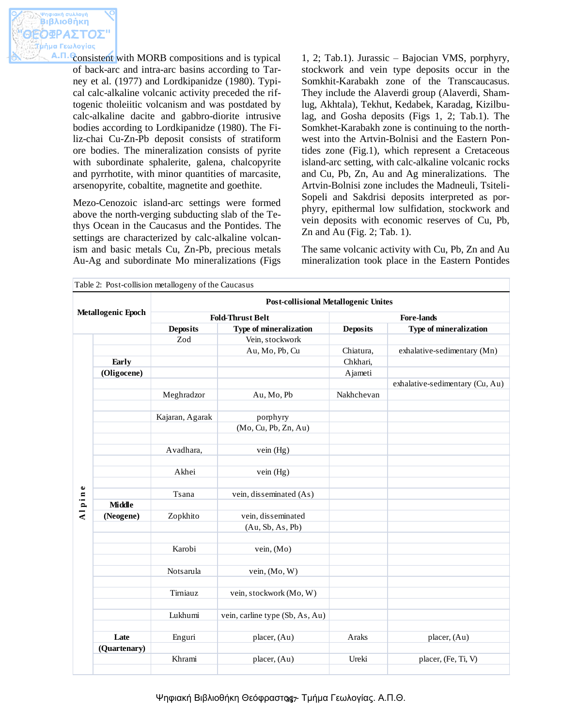consistent with MORB compositions and is typical of back-arc and intra-arc basins according to Tarney et al. (1977) and Lordkipanidze (1980). Typical calc-alkaline volcanic activity preceded the riftogenic tholeiitic volcanism and was postdated by calc-alkaline dacite and gabbro-diorite intrusive bodies according to Lordkipanidze (1980). The Filiz-chai Cu-Zn-Pb deposit consists of stratiform ore bodies. The mineralization consists of pyrite with subordinate sphalerite, galena, chalcopyrite and pyrrhotite, with minor quantities of marcasite, arsenopyrite, cobaltite, magnetite and goethite.

Mezo-Cenozoic island-arc settings were formed above the north-verging subducting slab of the Tethys Ocean in the Caucasus and the Pontides. The settings are characterized by calc-alkaline volcanism and basic metals Cu, Zn-Pb, precious metals Au-Ag and subordinate Mo mineralizations (Figs 1, 2; Tab.1). Jurassic – Bajocian VMS, porphyry, stockwork and vein type deposits occur in the Somkhit-Karabakh zone of the Transcaucasus. They include the Alaverdi group (Alaverdi, Shamlug, Akhtala), Tekhut, Kedabek, Karadag, Kizilbulag, and Gosha deposits (Figs 1, 2; Tab.1). The Somkhet-Karabakh zone is continuing to the northwest into the Artvin-Bolnisi and the Eastern Pontides zone (Fig.1), which represent a Cretaceous island-arc setting, with calc-alkaline volcanic rocks and Cu, Pb, Zn, Au and Ag mineralizations. The Artvin-Bolnisi zone includes the Madneuli, Tsiteli-Sopeli and Sakdrisi deposits interpreted as porphyry, epithermal low sulfidation, stockwork and vein deposits with economic reserves of Cu, Pb, Zn and Au (Fig. 2; Tab. 1).

The same volcanic activity with Cu, Pb, Zn and Au mineralization took place in the Eastern Pontides

|               | <b>Post-collisional Metallogenic Unites</b> |                                 |                                                                                            |                                 |  |  |  |  |
|---------------|---------------------------------------------|---------------------------------|--------------------------------------------------------------------------------------------|---------------------------------|--|--|--|--|
|               |                                             |                                 | <b>Fore-lands</b>                                                                          |                                 |  |  |  |  |
|               | <b>Deposits</b>                             | Type of mineralization          | <b>Deposits</b>                                                                            | Type of mineralization          |  |  |  |  |
|               | Zod                                         | Vein, stockwork                 |                                                                                            |                                 |  |  |  |  |
|               |                                             | Au, Mo, Pb, Cu                  | Chiatura,                                                                                  | exhalative-sedimentary (Mn)     |  |  |  |  |
| Early         |                                             |                                 | Chkhari,                                                                                   |                                 |  |  |  |  |
| (Oligocene)   |                                             |                                 | Ajameti                                                                                    |                                 |  |  |  |  |
|               |                                             |                                 |                                                                                            | exhalative-sedimentary (Cu, Au) |  |  |  |  |
|               | Meghradzor                                  | Au, Mo, Pb                      | Nakhchevan                                                                                 |                                 |  |  |  |  |
|               | Kajaran, Agarak                             |                                 |                                                                                            |                                 |  |  |  |  |
|               |                                             | (Mo, Cu, Pb, Zn, Au)            |                                                                                            |                                 |  |  |  |  |
|               | Avadhara,                                   | vein (Hg)                       |                                                                                            |                                 |  |  |  |  |
|               | Akhei                                       | vein (Hg)                       |                                                                                            |                                 |  |  |  |  |
|               | Tsana                                       | vein, disseminated (As)         |                                                                                            |                                 |  |  |  |  |
| <b>Middle</b> |                                             |                                 |                                                                                            |                                 |  |  |  |  |
| (Neogene)     | Zopkhito                                    | vein, disseminated              |                                                                                            |                                 |  |  |  |  |
|               |                                             | (Au, Sb, As, Pb)                |                                                                                            |                                 |  |  |  |  |
|               | Karobi                                      | vein, (Mo)                      |                                                                                            |                                 |  |  |  |  |
|               | Notsarula                                   | vein, (Mo, W)                   |                                                                                            |                                 |  |  |  |  |
|               | Tirniauz                                    | vein, stockwork (Mo, W)         |                                                                                            |                                 |  |  |  |  |
|               | Lukhumi                                     | vein, carline type (Sb, As, Au) |                                                                                            |                                 |  |  |  |  |
| Late          | Enguri                                      | placer, (Au)                    | Araks                                                                                      | placer, (Au)                    |  |  |  |  |
|               |                                             |                                 |                                                                                            |                                 |  |  |  |  |
|               | Khrami                                      | placer, (Au)                    | Ureki                                                                                      | placer, (Fe, Ti, V)             |  |  |  |  |
|               | <b>Metallogenic Epoch</b><br>(Quartenary)   |                                 | Table 2: Post-collision metallogeny of the Caucasus<br><b>Fold-Thrust Belt</b><br>porphyry |                                 |  |  |  |  |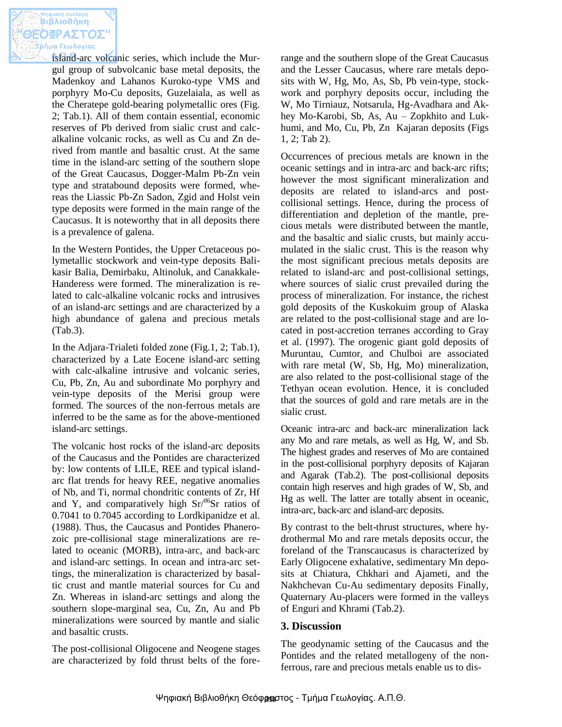island-arc volcanic series, which include the Murgul group of subvolcanic base metal deposits, the Madenkoy and Lahanos Kuroko-type VMS and porphyry Mo-Cu deposits, Guzelaiala, as well as the Cheratepe gold-bearing polymetallic ores (Fig. 2; Tab.1). All of them contain essential, economic reserves of Pb derived from sialic crust and calcalkaline volcanic rocks, as well as Cu and Zn derived from mantle and basaltic crust. At the same time in the island-arc setting of the southern slope of the Great Caucasus, Dogger-Malm Pb-Zn vein type and stratabound deposits were formed, whereas the Liassic Pb-Zn Sadon, Zgid and Holst vein type deposits were formed in the main range of the Caucasus. It is noteworthy that in all deposits there is a prevalence of galena.

In the Western Pontides, the Upper Cretaceous polymetallic stockwork and vein-type deposits Balikasir Balia, Demirbaku, Altinoluk, and Canakkale-Handeress were formed. The mineralization is related to calc-alkaline volcanic rocks and intrusives of an island-arc settings and are characterized by a high abundance of galena and precious metals (Tab.3).

In the Adjara-Trialeti folded zone (Fig.1, 2; Tab.1), characterized by a Late Eocene island-arc setting with calc-alkaline intrusive and volcanic series, Cu, Pb, Zn, Au and subordinate Mo porphyry and vein-type deposits of the Merisi group were formed. The sources of the non-ferrous metals are inferred to be the same as for the above-mentioned island-arc settings.

The volcanic host rocks of the island-arc deposits of the Caucasus and the Pontides are characterized by: low contents of LILE, REE and typical islandarc flat trends for heavy REE, negative anomalies of Nb, and Ti, normal chondritic contents of Zr, Hf and Y, and comparatively high  $Sr^{86}Sr$  ratios of 0.7041 to 0.7045 according to Lordkipanidze et al. (1988). Thus, the Caucasus and Pontides Phanerozoic pre-collisional stage mineralizations are related to oceanic (MORB), intra-arc, and back-arc and island-arc settings. In ocean and intra-arc settings, the mineralization is characterized by basaltic crust and mantle material sources for Cu and Zn. Whereas in island-arc settings and along the southern slope-marginal sea, Cu, Zn, Au and Pb mineralizations were sourced by mantle and sialic and basaltic crusts.

The post-collisional Oligocene and Neogene stages are characterized by fold thrust belts of the forerange and the southern slope of the Great Caucasus and the Lesser Caucasus, where rare metals deposits with W, Hg, Mo, As, Sb, Pb vein-type, stockwork and porphyry deposits occur, including the W, Mo Tirniauz, Notsarula, Hg-Avadhara and Akhey Mo-Karobi, Sb, As, Au – Zopkhito and Lukhumi, and Mo, Cu, Pb, Zn Kajaran deposits (Figs 1, 2; Tab 2).

Occurrences of precious metals are known in the oceanic settings and in intra-arc and back-arc rifts; however the most significant mineralization and deposits are related to island-arcs and postcollisional settings. Hence, during the process of differentiation and depletion of the mantle, precious metals were distributed between the mantle, and the basaltic and sialic crusts, but mainly accumulated in the sialic crust. This is the reason why the most significant precious metals deposits are related to island-arc and post-collisional settings, where sources of sialic crust prevailed during the process of mineralization. For instance, the richest gold deposits of the Kuskokuim group of Alaska are related to the post-collisional stage and are located in post-accretion terranes according to Gray et al. (1997). The orogenic giant gold deposits of Muruntau, Cumtor, and Chulboi are associated with rare metal (W, Sb, Hg, Mo) mineralization, are also related to the post-collisional stage of the Tethyan ocean evolution. Hence, it is concluded that the sources of gold and rare metals are in the sialic crust.

Oceanic intra-arc and back-arc mineralization lack any Mo and rare metals, as well as Hg, W, and Sb. The highest grades and reserves of Mo are contained in the post-collisional porphyry deposits of Kajaran and Agarak (Tab.2). The post-collisional deposits contain high reserves and high grades of W, Sb, and Hg as well. The latter are totally absent in oceanic, intra-arc, back-arc and island-arc deposits.

By contrast to the belt-thrust structures, where hydrothermal Mo and rare metals deposits occur, the foreland of the Transcaucasus is characterized by Early Oligocene exhalative, sedimentary Mn deposits at Chiatura, Chkhari and Ajameti, and the Nakhchevan Cu-Au sedimentary deposits Finally, Quaternary Au-placers were formed in the valleys of Enguri and Khrami (Tab.2).

# **3. Discussion**

The geodynamic setting of the Caucasus and the Pontides and the related metallogeny of the nonferrous, rare and precious metals enable us to dis-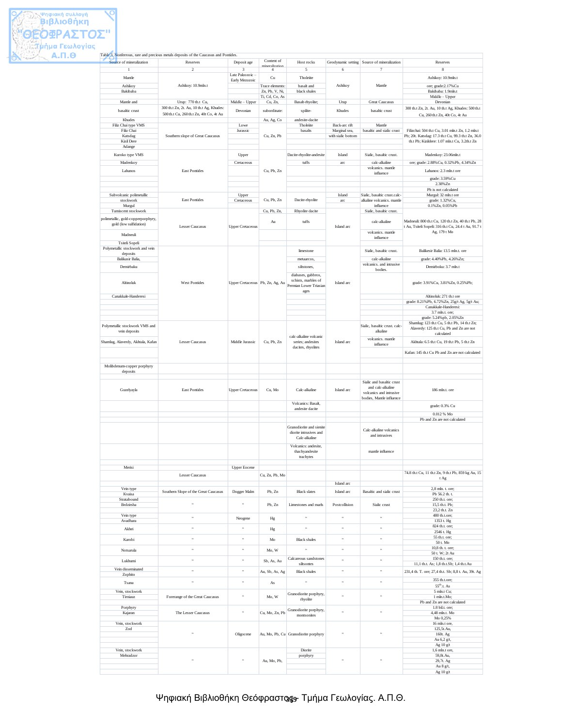#### Ψηφιακή Βιβλιοθήκη Θεόφραστος, - Τμήμα Γεωλογίας. Α.Π.Θ.

|                                                              | Table 3. Nonferrous, rare and precious metals deposits of the Caucasus and Pontides. |                                 |                                   |                                               |                                |                                                           |                                                                                     |
|--------------------------------------------------------------|--------------------------------------------------------------------------------------|---------------------------------|-----------------------------------|-----------------------------------------------|--------------------------------|-----------------------------------------------------------|-------------------------------------------------------------------------------------|
| Source of mineralization                                     | Reserves                                                                             | Deposit age                     | Content of<br>mineralization      | Host rocks                                    |                                | Geodynamic setting Source of mineralization               | Reserves                                                                            |
|                                                              | $\overline{\mathcal{L}}$                                                             | 3<br>Late Paleozoic -           | $\overline{4}$                    | 5                                             | 6                              | $\overline{7}$                                            | 8                                                                                   |
| Mantle                                                       |                                                                                      | Early Mezozoic                  | Cu                                | Tholeite                                      |                                |                                                           | Ashikoy: 10.9mln.t                                                                  |
| Ashikoy<br>Bakibaba                                          | Ashikoy: 10.9mln.t                                                                   |                                 | Trace elements:<br>Zn, Pb, V, Ni, | basalt and<br>black shales                    | Ashikoy                        | Mantle                                                    | ore; grade:2.17% Cu<br>Bakibaba: 1.9mln.t                                           |
|                                                              |                                                                                      |                                 | Ti, Cd, Co, As                    |                                               |                                |                                                           | Middle - Upper                                                                      |
| Mantle and                                                   | Urup: 770 th.t Cu,                                                                   | Middle - Upper                  | Cu, Zn,                           | Basalt-rhyolite;                              | Urup                           | <b>Great Caucasus</b>                                     | Devonian                                                                            |
| basaltic crust                                               | 300 th.t Zn, 2t. Au, 10 th.t Ag, Khudes:<br>500 th.t Cu, 260 th.t Zn, 40t Co, 4t Au  | Devonian                        | subordinate:                      | spilite-                                      | Khudes                         | basaltic crust                                            | 300 th.t Zn, 2t. Au, 10 th.t Ag, Khudes: 500 th.t<br>Cu, 260 th.t Zn, 40t Co, 4t Au |
| Khudes                                                       |                                                                                      |                                 | Au, Ag, Co                        | andesite-dacite                               |                                |                                                           |                                                                                     |
| Filiz Chai type VMS<br>Filiz Chai                            |                                                                                      | Lowe<br>Jurassic                |                                   | Tholeite<br>basalts                           | Back-arc rift<br>Marginal sea, | Mantle<br>basaltic and sialic crust                       | Filizchai: 504 th.t Cu, 3.01 mln.t Zn, 1.2 mln.t                                    |
| Katsdag                                                      | Southern slope of Great Caucasus                                                     |                                 | Cu, Zn, Pb                        |                                               | with sialic bottom             |                                                           | Pb; 20t. Katsdag: 17.3 th.t Cu, 99.3 th.t Zn, 36.0                                  |
| Kizil Dere                                                   |                                                                                      |                                 |                                   |                                               |                                |                                                           | th.t Pb; Kizildere: 1.07 mln.t Cu, 3.2th.t Zn                                       |
| Adange                                                       |                                                                                      |                                 |                                   |                                               |                                |                                                           | Madenkoy: 23.06mln.t                                                                |
| Kuroko type VMS                                              |                                                                                      | Upper                           |                                   | Dacite-rhyolite-andesite                      | Island                         | Sialic, basaltic crust.                                   |                                                                                     |
| Madenkoy                                                     | <b>East Pontides</b>                                                                 | Cretaceous                      |                                   | tuffs                                         | arc                            | calc-alkaline<br>volcanics. mantle                        | ore; grade: 2.88% Cu, 0.32% Pb, 4.34% Zn                                            |
| Lahanos                                                      |                                                                                      |                                 | Cu, Pb, Zn                        |                                               |                                | influence                                                 | Lahanos: 2.3 mln.t ore                                                              |
|                                                              |                                                                                      |                                 |                                   |                                               |                                |                                                           | grade: 3.59% Cu<br>2.38%Zn                                                          |
|                                                              |                                                                                      |                                 |                                   |                                               |                                |                                                           | Pb is not calculated                                                                |
| Subvolcanic polimetallic<br>stockwork                        | <b>East Pontides</b>                                                                 | Upper<br>Cretaceous             | Cu, Pb, Zn                        | Dacite-rhyolite                               | Island<br>arc                  | Sialic, basaltic crust.calc<br>alkaline volcanics. mantle | Murgul: 32 mln.t ore<br>grade: 1.32% Cu,                                            |
| Murgul                                                       |                                                                                      |                                 |                                   |                                               |                                | influence                                                 | 0.1%Zn, 0.05%Pb                                                                     |
| Tumiscent stockwork                                          |                                                                                      |                                 | Cu, Pb, Zn,                       | Rhyolite dacite                               |                                | Sialic, basaltic crust.                                   |                                                                                     |
| polimetallic, gold-copperporphyry,<br>gold (low sulfidation) |                                                                                      |                                 | Au                                | tuffs                                         |                                | calc-alkaline                                             | Madneuli: 800 th.t Cu, 120 th.t Zn, 40 th.t Pb, 28                                  |
|                                                              | <b>Lesser Caucasus</b>                                                               | <b>Upper Cretaceous</b>         |                                   |                                               | Island arc                     | volcanics. mantle                                         | t Au, Tsiteli Sopeli: 316 th.t Cu, 24.4 t Au, 91.7 t<br>Ag, 179 t Mo                |
| Madneuli                                                     |                                                                                      |                                 |                                   |                                               |                                | influence                                                 |                                                                                     |
| Tsiteli Sopeli<br>Polymetallic stockwork and vein            |                                                                                      |                                 |                                   |                                               |                                |                                                           |                                                                                     |
| deposits                                                     |                                                                                      |                                 |                                   | limestone                                     |                                | Sialic, basaltic crust.                                   | Balikesir Balia: 13.5 mln.t. ore                                                    |
| Balikasir Balia,                                             |                                                                                      |                                 |                                   | metaarcos,                                    |                                | calc-alkaline                                             | grade: 4.40%Pb, 4.26%Zn;                                                            |
| Demirbaku                                                    |                                                                                      |                                 |                                   | siltstones,                                   |                                | volcanics, and intrusive<br>bodies.                       | Demirboku: 3.7 mln.t                                                                |
|                                                              |                                                                                      |                                 |                                   | diabases, gabbros,                            |                                |                                                           |                                                                                     |
| Altinoluk                                                    | <b>West Pontides</b>                                                                 | Upper Cretaceous Pb, Zn, Ag, Au |                                   | schists, marbles of<br>Permian Lower Triasian | Island arc                     |                                                           | grade: 3.91% Cu, 3.81% Zn, 0.25% Pb;                                                |
|                                                              |                                                                                      |                                 |                                   | ages                                          |                                |                                                           |                                                                                     |
| Canakkale-Handeresi                                          |                                                                                      |                                 |                                   |                                               |                                |                                                           | Altinoluk: 271 th.t ore<br>grade: 8.21%Pb, 6.72%Zn, 25g/t Ag, 5g/t Au;              |
|                                                              |                                                                                      |                                 |                                   |                                               |                                |                                                           | Canakkale-Handeresi:                                                                |
|                                                              |                                                                                      |                                 |                                   |                                               |                                |                                                           | 3.7 mln.t. ore;                                                                     |
| Polymetallic stockwork VMS and                               |                                                                                      |                                 |                                   |                                               |                                | Sialic, basaltic crust. calc-                             | grade: 5.24% pb, 2.05% Zn<br>Shamlug: 123 th.t Cu, 5 th.t Pb, 14 th.t Zn;           |
| vein deposits                                                |                                                                                      |                                 |                                   |                                               |                                | alkaline                                                  | Alaverdy: 125 th.t Cu, Pb and Zn are not                                            |
|                                                              |                                                                                      |                                 |                                   | calc-alkaline volcanic                        |                                | volcanics. mantle                                         | calculated                                                                          |
| Shamlug, Alaverdy, Akhtala, Kafan                            | <b>Lesser Caucasus</b>                                                               | Middle Jurassic                 | Cu, Pb, Zn                        | series; andesites<br>dacites, rhyolites       | Island arc                     | influence                                                 | Akhtala: 6.5 th.t Cu, 19 th.t Pb, 5 th.t Zn                                         |
|                                                              |                                                                                      |                                 |                                   |                                               |                                |                                                           | Kafan: 145 th.t Cu Pb and Zn are not calculated                                     |
|                                                              |                                                                                      |                                 |                                   |                                               |                                |                                                           |                                                                                     |
| Molibdenum-copper porphyry<br>deposits                       |                                                                                      |                                 |                                   |                                               |                                |                                                           |                                                                                     |
|                                                              |                                                                                      |                                 |                                   |                                               |                                |                                                           |                                                                                     |
|                                                              |                                                                                      |                                 |                                   |                                               |                                | Sialic and basaltic crust<br>and calc-alkaline            |                                                                                     |
| Guzelyayla                                                   | <b>East Pontides</b>                                                                 | <b>Upper Cretaceous</b>         | Cu, Mo                            | Calc-alkaline                                 | Island arc                     | volcanics and intrusive                                   | 186 mln.t. ore                                                                      |
|                                                              |                                                                                      |                                 |                                   | Volcanics: Basalt,                            |                                | bodies, Mantle influence                                  |                                                                                     |
|                                                              |                                                                                      |                                 |                                   | andesite dacite                               |                                |                                                           | grade: 0.3% Cu                                                                      |
|                                                              |                                                                                      |                                 |                                   |                                               |                                |                                                           | 0.012 % Mo<br>Pb and Zn are not calculated                                          |
|                                                              |                                                                                      |                                 |                                   | Granodiorite and sienite                      |                                |                                                           |                                                                                     |
|                                                              |                                                                                      |                                 |                                   | diorite intrusives and                        |                                | Calc-alkaline volcanics<br>and intrusives                 |                                                                                     |
|                                                              |                                                                                      |                                 |                                   | Calc-alkaline                                 |                                |                                                           |                                                                                     |
|                                                              |                                                                                      |                                 |                                   | Volcanics: andesite,<br>thachyandesite        |                                | mantle influence                                          |                                                                                     |
|                                                              |                                                                                      |                                 |                                   | trachytes                                     |                                |                                                           |                                                                                     |
|                                                              |                                                                                      |                                 |                                   |                                               |                                |                                                           |                                                                                     |
| Merisi                                                       | Lesser Caucasus                                                                      | <b>Upper Eocene</b>             | Cu, Zn, Pb, Mo                    |                                               |                                |                                                           | 74.8 th.t Cu, 11 th.t Zn, 9 th.t Pb, 859 kg Au, 15                                  |
|                                                              |                                                                                      |                                 |                                   |                                               |                                |                                                           | t Ag                                                                                |
| Vein type                                                    |                                                                                      |                                 |                                   | <b>Black slates</b>                           | Island arc<br>Island arc       | Basaltic and sialic crust                                 | 2,8 mln. t. ore;                                                                    |
| Kvaisa                                                       | Southern Slope of the Great Caucasus                                                 | Dogger Malm                     | Pb, Zn                            |                                               |                                |                                                           | Pb 56.2 th. t.                                                                      |
| Stratabound<br>Brdzirsha                                     | ç,                                                                                   | $\epsilon$                      | Pb, Zn                            | Limestones and mark                           | Postcollision                  | Sialic crust                                              | 250 th.t. ore;<br>15,5 th.t. Pb;                                                    |
|                                                              |                                                                                      |                                 |                                   |                                               |                                |                                                           | 23.2 th.t. Zn                                                                       |
| Vein type<br>Avadhara                                        | $\alpha$                                                                             | Neogene                         | Hg                                | $\alpha$                                      | $\epsilon$                     | $\alpha$                                                  | 480 th.t.ore;<br>1353 t. Hg                                                         |
| Akhei                                                        | $\epsilon$                                                                           | $\alpha$                        | Hg                                | $\alpha$                                      | $\epsilon$                     | $\alpha$                                                  | 824 th.t. ore;                                                                      |
|                                                              |                                                                                      |                                 |                                   |                                               |                                |                                                           | 2546 t. Hg<br>55 th.t. ore;                                                         |
| Karobi                                                       | $\alpha$                                                                             | $\alpha$                        | Mo                                | <b>Black</b> shales                           | $\alpha$                       | $\alpha$                                                  | 50 t. Mo                                                                            |
| Notsarula                                                    | $\alpha$                                                                             | $\alpha$                        | Mo, W                             | $\alpha$                                      | $\epsilon\epsilon$             | $\alpha$                                                  | 10,8 th. t. ore;<br>50 t. W; 2t Au                                                  |
| Lukhumi                                                      | $\alpha$                                                                             | $\mathfrak{c}\mathfrak{c}$      | Sb, As, Au                        | Calcareous sandstones                         | $\alpha$                       | $\epsilon$                                                | 150 th.t. ore;                                                                      |
| Vein disseminated                                            |                                                                                      |                                 |                                   | siltsontes                                    |                                |                                                           | 11,1 th.t. As; 1,8 th.t.Sb; 1,4 th.t.Au                                             |
| Zophito                                                      | $\epsilon$                                                                           | $\alpha$                        | Au, Sb, As, Ag                    | <b>Black</b> shales                           | $\epsilon$                     | $\alpha$                                                  | 231,4 th. T. ore; 27,4 th.t. Sb; 8,8 t. Au, 39t. Ag                                 |
| Tsana                                                        | $\epsilon$                                                                           | $\mathfrak{c}$                  | As                                | $\alpha$                                      | ç,                             | $\alpha$                                                  | 355 th.t.ore;                                                                       |
| Vein, stockwork                                              |                                                                                      |                                 |                                   |                                               |                                |                                                           | $55th$ .t. As<br>5 mln.t Cu;                                                        |
| Tirniauz                                                     | Forerange of the Great Caucasus                                                      | $\alpha$                        | Mo, W                             | Granodiorite porphyry,<br>rhyolite            | $\alpha$                       | $\alpha$                                                  | 1 mln.t.Mo;                                                                         |
| Porphyry                                                     |                                                                                      |                                 |                                   |                                               |                                |                                                           | Pb and Zn are not calculated<br>1.8 bil.t. ore;                                     |
| Kajaran                                                      | The Lesser Caucasus                                                                  | $\alpha$                        | Cu, Mo, Zn, Pb                    | Granodiorite porphyry,<br>montsonites         | $\alpha$                       | $\alpha$                                                  | 4,48 mln.t. Mo                                                                      |
| Vein, stockwork                                              |                                                                                      |                                 |                                   |                                               |                                |                                                           | Mo 0,25%<br>16 mln.t ore,                                                           |
| Zod                                                          |                                                                                      |                                 |                                   |                                               |                                |                                                           | 125,5t.Au,                                                                          |
|                                                              | ç,                                                                                   | Oligocene                       |                                   | Au, Mo, Pb, Cu Granodiorite porphyry          | $\epsilon$                     | $\alpha$                                                  | 160t. Ag                                                                            |
|                                                              |                                                                                      |                                 |                                   |                                               |                                |                                                           | Au 6,2 g/t,<br>Ag 10 g/t                                                            |
| Vein, stockwork                                              |                                                                                      |                                 |                                   | Diorite                                       |                                |                                                           | 1,6 mln.t ore,                                                                      |
| Mehradzor                                                    | ç,                                                                                   | $\alpha$                        | Au, Mo, Pb,                       | porphyry                                      | $\epsilon$                     | $\epsilon$                                                | 59, 8t. Au,<br>29,7t. Ag                                                            |
|                                                              |                                                                                      |                                 |                                   |                                               |                                |                                                           | Au 8 g/t,                                                                           |
|                                                              |                                                                                      |                                 |                                   |                                               |                                |                                                           | Ag 10 g/t                                                                           |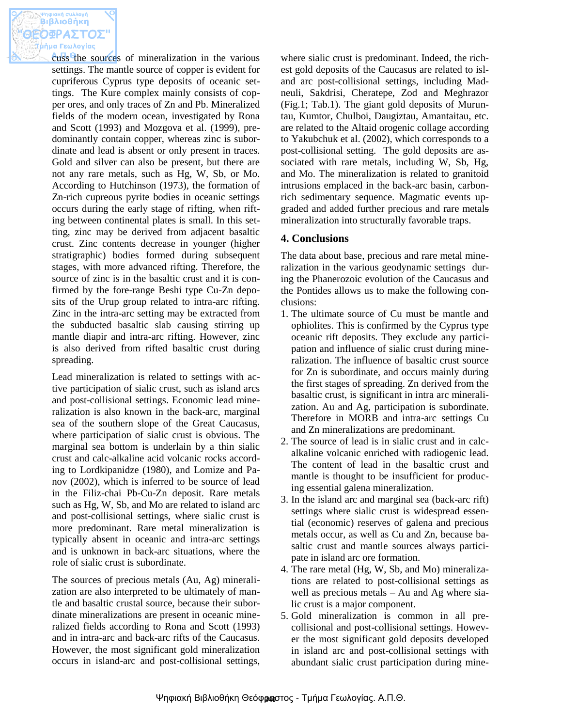cuss the sources of mineralization in the various settings. The mantle source of copper is evident for cupriferous Cyprus type deposits of oceanic settings. The Kure complex mainly consists of copper ores, and only traces of Zn and Pb. Mineralized fields of the modern ocean, investigated by Rona and Scott (1993) and Mozgova et al. (1999), predominantly contain copper, whereas zinc is subordinate and lead is absent or only present in traces. Gold and silver can also be present, but there are not any rare metals, such as Hg, W, Sb, or Mo. According to Hutchinson (1973), the formation of Zn-rich cupreous pyrite bodies in oceanic settings occurs during the early stage of rifting, when rifting between continental plates is small. In this setting, zinc may be derived from adjacent basaltic crust. Zinc contents decrease in younger (higher stratigraphic) bodies formed during subsequent stages, with more advanced rifting. Therefore, the source of zinc is in the basaltic crust and it is confirmed by the fore-range Beshi type Cu-Zn deposits of the Urup group related to intra-arc rifting. Zinc in the intra-arc setting may be extracted from the subducted basaltic slab causing stirring up mantle diapir and intra-arc rifting. However, zinc is also derived from rifted basaltic crust during spreading.

Lead mineralization is related to settings with active participation of sialic crust, such as island arcs and post-collisional settings. Economic lead mineralization is also known in the back-arc, marginal sea of the southern slope of the Great Caucasus, where participation of sialic crust is obvious. The marginal sea bottom is underlain by a thin sialic crust and calc-alkaline acid volcanic rocks according to Lordkipanidze (1980), and Lomize and Panov (2002), which is inferred to be source of lead in the Filiz-chai Pb-Cu-Zn deposit. Rare metals such as Hg, W, Sb, and Mo are related to island arc and post-collisional settings, where sialic crust is more predominant. Rare metal mineralization is typically absent in oceanic and intra-arc settings and is unknown in back-arc situations, where the role of sialic crust is subordinate.

The sources of precious metals (Au, Ag) mineralization are also interpreted to be ultimately of mantle and basaltic crustal source, because their subordinate mineralizations are present in oceanic mineralized fields according to Rona and Scott (1993) and in intra-arc and back-arc rifts of the Caucasus. However, the most significant gold mineralization occurs in island-arc and post-collisional settings,

where sialic crust is predominant. Indeed, the richest gold deposits of the Caucasus are related to island arc post-collisional settings, including Madneuli, Sakdrisi, Cheratepe, Zod and Meghrazor (Fig.1; Tab.1). The giant gold deposits of Muruntau, Kumtor, Chulboi, Daugiztau, Amantaitau, etc. are related to the Altaid orogenic collage according to Yakubchuk et al. (2002), which corresponds to a post-collisional setting. The gold deposits are associated with rare metals, including W, Sb, Hg, and Mo. The mineralization is related to granitoid intrusions emplaced in the back-arc basin, carbonrich sedimentary sequence. Magmatic events upgraded and added further precious and rare metals mineralization into structurally favorable traps.

# **4. Conclusions**

The data about base, precious and rare metal mineralization in the various geodynamic settings during the Phanerozoic evolution of the Caucasus and the Pontides allows us to make the following conclusions:

- 1. The ultimate source of Cu must be mantle and ophiolites. This is confirmed by the Cyprus type oceanic rift deposits. They exclude any participation and influence of sialic crust during mineralization. The influence of basaltic crust source for Zn is subordinate, and occurs mainly during the first stages of spreading. Zn derived from the basaltic crust, is significant in intra arc mineralization. Au and Ag, participation is subordinate. Therefore in MORB and intra-arc settings Cu and Zn mineralizations are predominant.
- 2. The source of lead is in sialic crust and in calcalkaline volcanic enriched with radiogenic lead. The content of lead in the basaltic crust and mantle is thought to be insufficient for producing essential galena mineralization.
- 3. In the island arc and marginal sea (back-arc rift) settings where sialic crust is widespread essential (economic) reserves of galena and precious metals occur, as well as Cu and Zn, because basaltic crust and mantle sources always participate in island arc ore formation.
- 4. The rare metal (Hg, W, Sb, and Mo) mineralizations are related to post-collisional settings as well as precious metals – Au and Ag where sialic crust is a major component.
- 5. Gold mineralization is common in all precollisional and post-collisional settings. However the most significant gold deposits developed in island arc and post-collisional settings with abundant sialic crust participation during mine-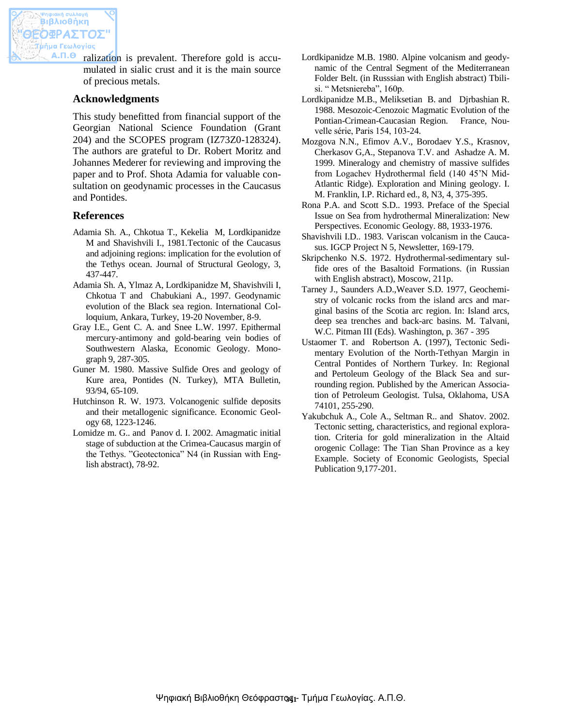ralization is prevalent. Therefore gold is accumulated in sialic crust and it is the main source of precious metals.

### **Acknowledgments**

This study benefitted from financial support of the Georgian National Science Foundation (Grant 204) and the SCOPES program (IZ73Z0-128324). The authors are grateful to Dr. Robert Moritz and Johannes Mederer for reviewing and improving the paper and to Prof. Shota Adamia for valuable consultation on geodynamic processes in the Caucasus and Pontides.

#### **References**

- Adamia Sh. A., Chkotua T., Kekelia M, Lordkipanidze M and Shavishvili I., 1981.Tectonic of the Caucasus and adjoining regions: implication for the evolution of the Tethys ocean. Journal of Structural Geology, 3, 437-447.
- Adamia Sh. A, Ylmaz A, Lordkipanidze M, Shavishvili I, Chkotua T and Chabukiani A., 1997. Geodynamic evolution of the Black sea region. International Colloquium, Ankara, Turkey, 19-20 November, 8-9.
- Gray I.E., Gent C. A. and Snee L.W. 1997. Epithermal mercury-antimony and gold-bearing vein bodies of Southwestern Alaska, Economic Geology. Monograph 9, 287-305.
- Guner M. 1980. Massive Sulfide Ores and geology of Kure area, Pontides (N. Turkey), MTA Bulletin, 93/94, 65-109.
- Hutchinson R. W. 1973. Volcanogenic sulfide deposits and their metallogenic significance. Economic Geology 68, 1223-1246.
- Lomidze m. G.. and Panov d. I. 2002. Amagmatic initial stage of subduction at the Crimea-Caucasus margin of the Tethys. "Geotectonica" N4 (in Russian with English abstract), 78-92.
- Lordkipanidze M.B. 1980. Alpine volcanism and geodynamic of the Central Segment of the Mediterranean Folder Belt. (in Russsian with English abstract) Tbilisi. " Metsniereba", 160p.
- Lordkipanidze M.B., Meliksetian B. and Djrbashian R. 1988. Mesozoic-Cenozoic Magmatic Evolution of the Pontian-Crimean-Caucasian Region. France, Nouvelle série, Paris 154, 103-24.
- Mozgova N.N., Efimov A.V., Borodaev Y.S., Krasnov, Cherkasov G,A., Stepanova T.V. and Ashadze A. M. 1999. Mineralogy and chemistry of massive sulfides from Logachev Hydrothermal field (140 45'N Mid-Atlantic Ridge). Exploration and Mining geology. I. M. Franklin, I.P. Richard ed., 8, N3, 4, 375-395.
- Rona P.A. and Scott S.D.. 1993. Preface of the Special Issue on Sea from hydrothermal Mineralization: New Perspectives. Economic Geology. 88, 1933-1976.
- Shavishvili I.D.. 1983. Variscan volcanism in the Caucasus. IGCP Project N 5, Newsletter, 169-179.
- Skripchenko N.S. 1972. Hydrothermal-sedimentary sulfide ores of the Basaltoid Formations. (in Russian with English abstract), Moscow, 211p.
- Tarney J., Saunders A.D.,Weaver S.D. 1977, Geochemistry of volcanic rocks from the island arcs and marginal basins of the Scotia arc region. In: Island arcs, deep sea trenches and back-arc basins. M. Talvani, W.C. Pitman III (Eds). Washington, p. 367 - 395
- Ustaomer T. and Robertson A. (1997), Tectonic Sedimentary Evolution of the North-Tethyan Margin in Central Pontides of Northern Turkey. In: Regional and Pertoleum Geology of the Black Sea and surrounding region. Published by the American Association of Petroleum Geologist. Tulsa, Oklahoma, USA 74101, 255-290.
- Yakubchuk A., Cole A., Seltman R.. and Shatov. 2002. Tectonic setting, characteristics, and regional exploration. Criteria for gold mineralization in the Altaid orogenic Collage: The Tian Shan Province as a key Example. Society of Economic Geologists, Special Publication 9,177-201.